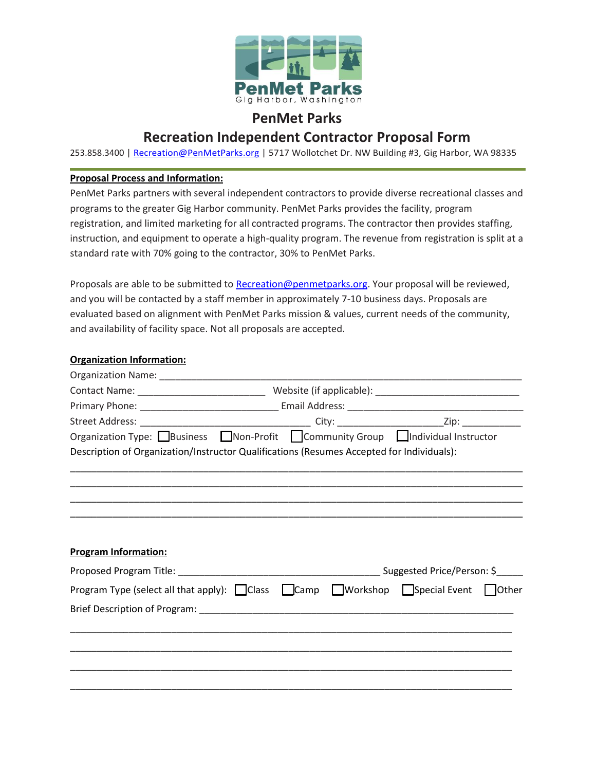

## **PenMet Parks**

## **Recreation Independent Contractor Proposal Form**

253.858.3400 | [Recreation@PenMetParks.org](mailto:Recreation@PenMetParks.org) | 5717 Wollotchet Dr. NW Building #3, Gig Harbor, WA 98335

## **Proposal Process and Information:**

PenMet Parks partners with several independent contractors to provide diverse recreational classes and programs to the greater Gig Harbor community. PenMet Parks provides the facility, program registration, and limited marketing for all contracted programs. The contractor then provides staffing, instruction, and equipment to operate a high-quality program. The revenue from registration is split at a standard rate with 70% going to the contractor, 30% to PenMet Parks.

Proposals are able to be submitted to [Recreation@penmetparks.org.](mailto:Recreation@penmetparks.org) Your proposal will be reviewed, and you will be contacted by a staff member in approximately 7-10 business days. Proposals are evaluated based on alignment with PenMet Parks mission & values, current needs of the community, and availability of facility space. Not all proposals are accepted.

## **Organization Information:**

| Organization Type: $\Box$ Business $\Box$ Non-Profit $\Box$ Community Group $\Box$ Individual Instructor         |  |  |  |  |  |  |  |
|------------------------------------------------------------------------------------------------------------------|--|--|--|--|--|--|--|
| Description of Organization/Instructor Qualifications (Resumes Accepted for Individuals):                        |  |  |  |  |  |  |  |
|                                                                                                                  |  |  |  |  |  |  |  |
|                                                                                                                  |  |  |  |  |  |  |  |
|                                                                                                                  |  |  |  |  |  |  |  |
|                                                                                                                  |  |  |  |  |  |  |  |
|                                                                                                                  |  |  |  |  |  |  |  |
| <b>Program Information:</b>                                                                                      |  |  |  |  |  |  |  |
|                                                                                                                  |  |  |  |  |  |  |  |
| Program Type (select all that apply): $\Box$ Class $\Box$ Camp $\Box$ Workshop $\Box$ Special Event $\Box$ Other |  |  |  |  |  |  |  |
|                                                                                                                  |  |  |  |  |  |  |  |
|                                                                                                                  |  |  |  |  |  |  |  |
|                                                                                                                  |  |  |  |  |  |  |  |
|                                                                                                                  |  |  |  |  |  |  |  |
|                                                                                                                  |  |  |  |  |  |  |  |
|                                                                                                                  |  |  |  |  |  |  |  |